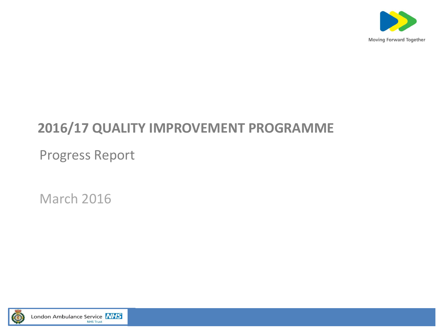

#### **2016/17 QUALITY IMPROVEMENT PROGRAMME**

Progress Report

March 2016

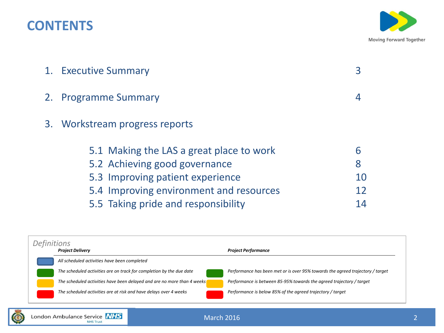#### **CONTENTS**



| 1. Executive Summary                                                                                          |              |  |  |  |  |
|---------------------------------------------------------------------------------------------------------------|--------------|--|--|--|--|
| 2. Programme Summary<br>4                                                                                     |              |  |  |  |  |
| 3. Workstream progress reports                                                                                |              |  |  |  |  |
| 5.1 Making the LAS a great place to work<br>5.2 Achieving good governance<br>5.3 Improving patient experience | 6<br>8<br>10 |  |  |  |  |
| 5.4 Improving environment and resources                                                                       | 12           |  |  |  |  |
| 5.5 Taking pride and responsibility                                                                           | 14           |  |  |  |  |

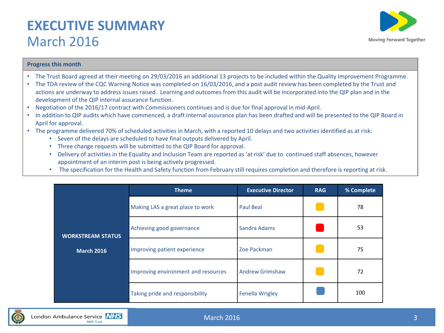#### **EXECUTIVE SUMMARY**  March 2016



#### **Progress this month**

- The Trust Board agreed at their meeting on 29/03/2016 an additional 13 projects to be included within the Quality Improvement Programme.
- The TDA review of the CQC Warning Notice was completed on 16/03/2016, and a post audit review has been completed by the Trust and actions are underway to address issues raised. Learning and outcomes from this audit will be incorporated into the QIP plan and in the development of the QIP internal assurance function.
- Negotiation of the 2016/17 contract with Commissioners continues and is due for final approval in mid-April.
- In addition to QIP audits which have commenced, a draft internal assurance plan has been drafted and will be presented to the QIP Board in April for approval.
- The programme delivered 70% of scheduled activities in March, with a reported 10 delays and two activities identified as at risk:
	- Seven of the delays are scheduled to have final outputs delivered by April.
	- Three change requests will be submitted to the QIP Board for approval.
	- Delivery of activities in the Equality and Inclusion Team are reported as 'at risk' due to continued staff absences, however appointment of an interim post is being actively progressed.
	- The specification for the Health and Safety function from February still requires completion and therefore is reporting at risk.

|                          | <b>Theme</b>                        | <b>Executive Director</b> | <b>RAG</b> | % Complete |
|--------------------------|-------------------------------------|---------------------------|------------|------------|
|                          | Making LAS a great place to work    | Paul Beal                 |            | 78         |
| <b>WORKSTREAM STATUS</b> | Achieving good governance           | Sandra Adams              |            | 53         |
| <b>March 2016</b>        | Improving patient experience        | Zoe Packman               |            | 75         |
|                          | Improving environment and resources | <b>Andrew Grimshaw</b>    |            | 72         |
|                          | Taking pride and responsibility     | <b>Fenella Wrigley</b>    |            | 100        |

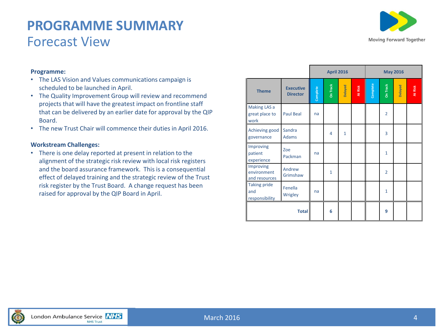#### **PROGRAMME SUMMARY** Forecast View



#### **Programme:**

- The LAS Vision and Values communications campaign is scheduled to be launched in April.
- The Quality Improvement Group will review and recommend projects that will have the greatest impact on frontline staff that can be delivered by an earlier date for approval by the QIP Board.
- The new Trust Chair will commence their duties in April 2016.

#### **Workstream Challenges:**

• There is one delay reported at present in relation to the alignment of the strategic risk review with local risk registers and the board assurance framework. This is a consequential effect of delayed training and the strategic review of the Trust risk register by the Trust Board. A change request has been raised for approval by the QIP Board in April.

|                                              |                                     |          | <b>April 2016</b> |              |         |               | <b>May 2016</b> |         |         |  |
|----------------------------------------------|-------------------------------------|----------|-------------------|--------------|---------|---------------|-----------------|---------|---------|--|
| <b>Theme</b>                                 | <b>Executive</b><br><b>Director</b> | Complete | On Track          | Delayed      | At Risk | Complete<br>I | On Track        | Delayed | At Risk |  |
| Making LAS a<br>great place to<br>work       | <b>Paul Beal</b>                    | na       |                   |              |         |               | $\overline{2}$  |         |         |  |
| Achieving good<br>governance                 | Sandra<br><b>Adams</b>              |          | 4                 | $\mathbf{1}$ |         |               | 3               |         |         |  |
| Improving<br>patient<br>experience           | Zoe<br>Packman                      | na       |                   |              |         |               | $\mathbf{1}$    |         |         |  |
| Improving<br>environment<br>and resources    | Andrew<br>Grimshaw                  |          | $\mathbf{1}$      |              |         |               | $\overline{2}$  |         |         |  |
| <b>Taking pride</b><br>and<br>responsibility | Fenella<br>Wrigley                  | na       |                   |              |         |               | $\mathbf{1}$    |         |         |  |
|                                              | <b>Total</b>                        |          | 6                 |              |         |               | 9               |         |         |  |

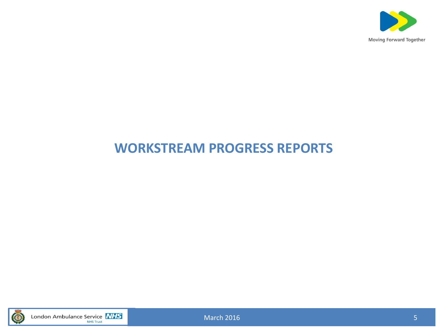

### **WORKSTREAM PROGRESS REPORTS**



London Ambulance Service **NHS** 

March 2016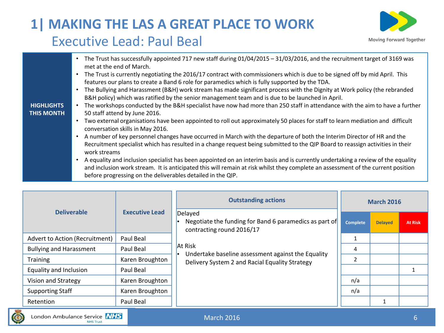## **1| MAKING THE LAS A GREAT PLACE TO WORK** Executive Lead: Paul Beal



| <b>HIGHLIGHTS</b><br><b>THIS MONTH</b> | The Trust has successfully appointed 717 new staff during 01/04/2015 - 31/03/2016, and the recruitment target of 3169 was<br>$\bullet$<br>met at the end of March.<br>The Trust is currently negotiating the 2016/17 contract with commissioners which is due to be signed off by mid April. This<br>$\bullet$<br>features our plans to create a Band 6 role for paramedics which is fully supported by the TDA.<br>The Bullying and Harassment (B&H) work stream has made significant process with the Dignity at Work policy (the rebranded<br>$\bullet$<br>B&H policy) which was ratified by the senior management team and is due to be launched in April.<br>The workshops conducted by the B&H specialist have now had more than 250 staff in attendance with the aim to have a further<br>50 staff attend by June 2016.<br>Two external organisations have been appointed to roll out approximately 50 places for staff to learn mediation and difficult<br>$\bullet$<br>conversation skills in May 2016.<br>A number of key personnel changes have occurred in March with the departure of both the Interim Director of HR and the<br>$\bullet$<br>Recruitment specialist which has resulted in a change request being submitted to the QIP Board to reassign activities in their<br>work streams<br>A equality and inclusion specialist has been appointed on an interim basis and is currently undertaking a review of the equality<br>and inclusion work stream. It is anticipated this will remain at risk whilst they complete an assessment of the current position<br>before progressing on the deliverables detailed in the QIP. |
|----------------------------------------|--------------------------------------------------------------------------------------------------------------------------------------------------------------------------------------------------------------------------------------------------------------------------------------------------------------------------------------------------------------------------------------------------------------------------------------------------------------------------------------------------------------------------------------------------------------------------------------------------------------------------------------------------------------------------------------------------------------------------------------------------------------------------------------------------------------------------------------------------------------------------------------------------------------------------------------------------------------------------------------------------------------------------------------------------------------------------------------------------------------------------------------------------------------------------------------------------------------------------------------------------------------------------------------------------------------------------------------------------------------------------------------------------------------------------------------------------------------------------------------------------------------------------------------------------------------------------------------------------------------------------------------------------|
|----------------------------------------|--------------------------------------------------------------------------------------------------------------------------------------------------------------------------------------------------------------------------------------------------------------------------------------------------------------------------------------------------------------------------------------------------------------------------------------------------------------------------------------------------------------------------------------------------------------------------------------------------------------------------------------------------------------------------------------------------------------------------------------------------------------------------------------------------------------------------------------------------------------------------------------------------------------------------------------------------------------------------------------------------------------------------------------------------------------------------------------------------------------------------------------------------------------------------------------------------------------------------------------------------------------------------------------------------------------------------------------------------------------------------------------------------------------------------------------------------------------------------------------------------------------------------------------------------------------------------------------------------------------------------------------------------|

|                                                                        |                       | <b>Outstanding actions</b>                                                                           | <b>March 2016</b> |                |                |  |
|------------------------------------------------------------------------|-----------------------|------------------------------------------------------------------------------------------------------|-------------------|----------------|----------------|--|
| <b>Deliverable</b>                                                     | <b>Executive Lead</b> | Delayed<br>Negotiate the funding for Band 6 paramedics as part of<br>contracting round 2016/17       | <b>Complete</b>   | <b>Delayed</b> | <b>At Risk</b> |  |
| Advert to Action (Recruitment)                                         | Paul Beal             |                                                                                                      | 1                 |                |                |  |
| <b>Bullying and Harassment</b>                                         | Paul Beal             | <b>At Risk</b>                                                                                       | 4                 |                |                |  |
| <b>Training</b>                                                        | Karen Broughton       | Undertake baseline assessment against the Equality<br>Delivery System 2 and Racial Equality Strategy | $\mathfrak{p}$    |                |                |  |
| Equality and Inclusion                                                 | Paul Beal             |                                                                                                      |                   |                |                |  |
| Vision and Strategy                                                    | Karen Broughton       |                                                                                                      | n/a               |                |                |  |
| <b>Supporting Staff</b>                                                | Karen Broughton       |                                                                                                      | n/a               |                |                |  |
| Retention                                                              | Paul Beal             |                                                                                                      |                   |                |                |  |
| $\overline{\phantom{a}}$<br>일상은 그는 일상의 그는 사람들이 있었다. 사람이 아니라 이 사람이 없었다. |                       |                                                                                                      |                   |                |                |  |

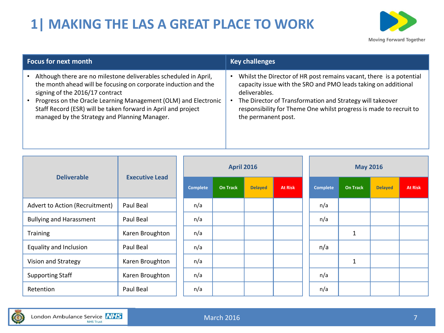# **1| MAKING THE LAS A GREAT PLACE TO WORK**



| <b>Focus for next month</b>                                      | <b>Key challenges</b>                                               |  |  |  |  |
|------------------------------------------------------------------|---------------------------------------------------------------------|--|--|--|--|
| Although there are no milestone deliverables scheduled in April, | Whilst the Director of HR post remains vacant, there is a potential |  |  |  |  |
| the month ahead will be focusing on corporate induction and the  | capacity issue with the SRO and PMO leads taking on additional      |  |  |  |  |
| signing of the 2016/17 contract                                  | deliverables.                                                       |  |  |  |  |
| Progress on the Oracle Learning Management (OLM) and Electronic  | The Director of Transformation and Strategy will takeover           |  |  |  |  |
| Staff Record (ESR) will be taken forward in April and project    | responsibility for Theme One whilst progress is made to recruit to  |  |  |  |  |
| managed by the Strategy and Planning Manager.                    | the permanent post.                                                 |  |  |  |  |

|                                | <b>Deliverable</b><br><b>Executive Lead</b> |  | <b>April 2016</b> |                 |                | <b>May 2016</b> |  |                 |                 |                |                |
|--------------------------------|---------------------------------------------|--|-------------------|-----------------|----------------|-----------------|--|-----------------|-----------------|----------------|----------------|
|                                |                                             |  | Complete          | <b>On Track</b> | <b>Delayed</b> | <b>At Risk</b>  |  | <b>Complete</b> | <b>On Track</b> | <b>Delayed</b> | <b>At Risk</b> |
| Advert to Action (Recruitment) | Paul Beal                                   |  | n/a               |                 |                |                 |  | n/a             |                 |                |                |
| <b>Bullying and Harassment</b> | Paul Beal                                   |  | n/a               |                 |                |                 |  | n/a             |                 |                |                |
| Training                       | Karen Broughton                             |  | n/a               |                 |                |                 |  |                 | $\mathbf{1}$    |                |                |
| Equality and Inclusion         | Paul Beal                                   |  | n/a               |                 |                |                 |  | n/a             |                 |                |                |
| Vision and Strategy            | Karen Broughton                             |  | n/a               |                 |                |                 |  |                 | $\mathbf 1$     |                |                |
| <b>Supporting Staff</b>        | Karen Broughton                             |  | n/a               |                 |                |                 |  | n/a             |                 |                |                |
| Retention                      | Paul Beal                                   |  | n/a               |                 |                |                 |  | n/a             |                 |                |                |

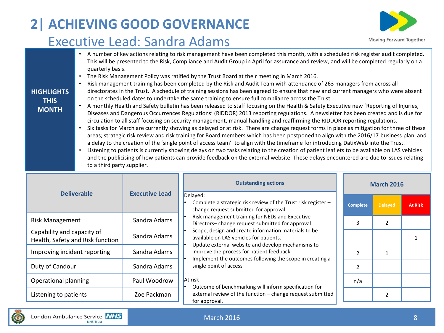# **2| ACHIEVING GOOD GOVERNANCE**

### Executive Lead: Sandra Adams



**HIGHLIGHTS THIS MONTH** • A number of key actions relating to risk management have been completed this month, with a scheduled risk register audit completed. This will be presented to the Risk, Compliance and Audit Group in April for assurance and review, and will be completed regularly on a quarterly basis. • The Risk Management Policy was ratified by the Trust Board at their meeting in March 2016. • Risk management training has been completed by the Risk and Audit Team with attendance of 263 managers from across all directorates in the Trust. A schedule of training sessions has been agreed to ensure that new and current managers who were absent on the scheduled dates to undertake the same training to ensure full compliance across the Trust. • A monthly Health and Safety bulletin has been released to staff focusing on the Health & Safety Executive new 'Reporting of Injuries, Diseases and Dangerous Occurrences Regulations' (RIDDOR) 2013 reporting regulations. A newsletter has been created and is due for circulation to all staff focusing on security management, manual handling and reaffirming the RIDDOR reporting regulations. • Six tasks for March are currently showing as delayed or at risk. There are change request forms in place as mitigation for three of these areas; strategic risk review and risk training for Board members which has been postponed to align with the 2016/17 business plan, and a delay to the creation of the 'single point of access team' to align with the timeframe for introducing DatixWeb into the Trust. • Listening to patients is currently showing delays on two tasks relating to the creation of patient leaflets to be available on LAS vehicles and the publicising of how patients can provide feedback on the external website. These delays encountered are due to issues relating to a third party supplier.

|                                                                |                       | <b>Outstanding actions</b>                                                                                                                                                                                                                               | <b>March 2016</b> |                |                |  |
|----------------------------------------------------------------|-----------------------|----------------------------------------------------------------------------------------------------------------------------------------------------------------------------------------------------------------------------------------------------------|-------------------|----------------|----------------|--|
| <b>Deliverable</b>                                             | <b>Executive Lead</b> | Delayed:<br>Complete a strategic risk review of the Trust risk register -<br>change request submitted for approval.                                                                                                                                      | <b>Complete</b>   | <b>Delayed</b> | <b>At Risk</b> |  |
| <b>Risk Management</b>                                         | Sandra Adams          | Risk management training for NEDs and Executive<br>Directors-change request submitted for approval.<br>Scope, design and create information materials to be<br>available on LAS vehicles for patients.                                                   |                   | 2              |                |  |
| Capability and capacity of<br>Health, Safety and Risk function | Sandra Adams          |                                                                                                                                                                                                                                                          |                   |                |                |  |
| Improving incident reporting                                   | Sandra Adams          | Update external website and develop mechanisms to<br>improve the process for patient feedback.<br>Implement the outcomes following the scope in creating a<br>single point of access<br>At risk<br>Outcome of benchmarking will inform specification for |                   |                |                |  |
| Duty of Candour                                                | Sandra Adams          |                                                                                                                                                                                                                                                          | 2                 |                |                |  |
| Operational planning                                           | Paul Woodrow          |                                                                                                                                                                                                                                                          | n/a               |                |                |  |
| Listening to patients                                          | Zoe Packman           | external review of the function - change request submitted<br>for approval.                                                                                                                                                                              |                   |                |                |  |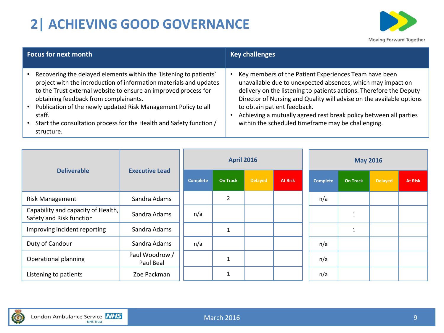# **2| ACHIEVING GOOD GOVERNANCE**



| <b>Focus for next month</b>                                                                                                                                                                                                                                                                                                                                                                                             | <b>Key challenges</b>                                                                                                                                                                                                                                                                                                                                                                                                         |
|-------------------------------------------------------------------------------------------------------------------------------------------------------------------------------------------------------------------------------------------------------------------------------------------------------------------------------------------------------------------------------------------------------------------------|-------------------------------------------------------------------------------------------------------------------------------------------------------------------------------------------------------------------------------------------------------------------------------------------------------------------------------------------------------------------------------------------------------------------------------|
| Recovering the delayed elements within the 'listening to patients'<br>project with the introduction of information materials and updates<br>to the Trust external website to ensure an improved process for<br>obtaining feedback from complainants.<br>Publication of the newly updated Risk Management Policy to all<br>staff.<br>• Start the consultation process for the Health and Safety function /<br>structure. | Key members of the Patient Experiences Team have been<br>unavailable due to unexpected absences, which may impact on<br>delivery on the listening to patients actions. Therefore the Deputy<br>Director of Nursing and Quality will advise on the available options<br>to obtain patient feedback.<br>Achieving a mutually agreed rest break policy between all parties<br>within the scheduled timeframe may be challenging. |

| <b>Deliverable</b>                                             |                             | <b>April 2016</b> |                 |                |                | <b>May 2016</b> |                 |                |                |
|----------------------------------------------------------------|-----------------------------|-------------------|-----------------|----------------|----------------|-----------------|-----------------|----------------|----------------|
|                                                                | <b>Executive Lead</b>       | <b>Complete</b>   | <b>On Track</b> | <b>Delayed</b> | <b>At Risk</b> | <b>Complete</b> | <b>On Track</b> | <b>Delayed</b> | <b>At Risk</b> |
| <b>Risk Management</b>                                         | Sandra Adams                |                   | 2               |                |                | n/a             |                 |                |                |
| Capability and capacity of Health,<br>Safety and Risk function | Sandra Adams                | n/a               |                 |                |                |                 |                 |                |                |
| Improving incident reporting                                   | Sandra Adams                |                   |                 |                |                |                 |                 |                |                |
| Duty of Candour                                                | Sandra Adams                | n/a               |                 |                |                | n/a             |                 |                |                |
| Operational planning                                           | Paul Woodrow /<br>Paul Beal |                   |                 |                |                | n/a             |                 |                |                |
| Listening to patients                                          | Zoe Packman                 |                   |                 |                |                | n/a             |                 |                |                |

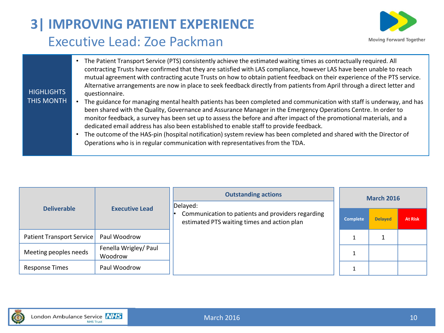# **3| IMPROVING PATIENT EXPERIENCE** Executive Lead: Zoe Packman



| <b>HIGHLIGHTS</b> | • The Patient Transport Service (PTS) consistently achieve the estimated waiting times as contractually required. All<br>contracting Trusts have confirmed that they are satisfied with LAS compliance, however LAS have been unable to reach<br>mutual agreement with contracting acute Trusts on how to obtain patient feedback on their experience of the PTS service.<br>Alternative arrangements are now in place to seek feedback directly from patients from April through a direct letter and<br>questionnaire. |
|-------------------|-------------------------------------------------------------------------------------------------------------------------------------------------------------------------------------------------------------------------------------------------------------------------------------------------------------------------------------------------------------------------------------------------------------------------------------------------------------------------------------------------------------------------|
| THIS MONTH        | The guidance for managing mental health patients has been completed and communication with staff is underway, and has                                                                                                                                                                                                                                                                                                                                                                                                   |
|                   | been shared with the Quality, Governance and Assurance Manager in the Emergency Operations Centre. In order to<br>monitor feedback, a survey has been set up to assess the before and after impact of the promotional materials, and a                                                                                                                                                                                                                                                                                  |
|                   | dedicated email address has also been established to enable staff to provide feedback.                                                                                                                                                                                                                                                                                                                                                                                                                                  |
|                   | The outcome of the HAS-pin (hospital notification) system review has been completed and shared with the Director of                                                                                                                                                                                                                                                                                                                                                                                                     |
|                   | Operations who is in regular communication with representatives from the TDA.                                                                                                                                                                                                                                                                                                                                                                                                                                           |
|                   |                                                                                                                                                                                                                                                                                                                                                                                                                                                                                                                         |

|                           |                                  | <b>Outstanding actions</b>                                                                                   | <b>March 2016</b> |                |                |  |
|---------------------------|----------------------------------|--------------------------------------------------------------------------------------------------------------|-------------------|----------------|----------------|--|
| <b>Deliverable</b>        | <b>Executive Lead</b>            | Delayed:<br>Communication to patients and providers regarding<br>estimated PTS waiting times and action plan | <b>Complete</b>   | <b>Delayed</b> | <b>At Risk</b> |  |
| Patient Transport Service | Paul Woodrow                     |                                                                                                              |                   |                |                |  |
| Meeting peoples needs     | Fenella Wrigley/ Paul<br>Woodrow |                                                                                                              |                   |                |                |  |
| <b>Response Times</b>     | Paul Woodrow                     |                                                                                                              |                   |                |                |  |

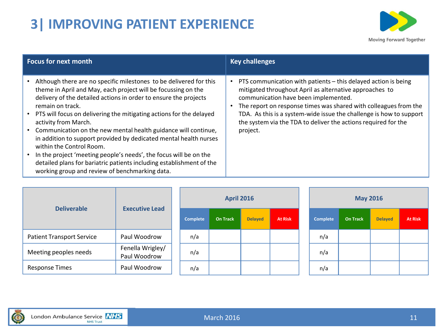# **3| IMPROVING PATIENT EXPERIENCE**



| <b>Focus for next month</b>                                                                                                                                                                                                                                                                                                                                                                                                                                                                                                                                                                                                                                                                      | <b>Key challenges</b>                                                                                                                                                                                                                                                                                                                                                                      |
|--------------------------------------------------------------------------------------------------------------------------------------------------------------------------------------------------------------------------------------------------------------------------------------------------------------------------------------------------------------------------------------------------------------------------------------------------------------------------------------------------------------------------------------------------------------------------------------------------------------------------------------------------------------------------------------------------|--------------------------------------------------------------------------------------------------------------------------------------------------------------------------------------------------------------------------------------------------------------------------------------------------------------------------------------------------------------------------------------------|
| Although there are no specific milestones to be delivered for this<br>theme in April and May, each project will be focussing on the<br>delivery of the detailed actions in order to ensure the projects<br>remain on track.<br>• PTS will focus on delivering the mitigating actions for the delayed<br>activity from March.<br>• Communication on the new mental health guidance will continue,<br>in addition to support provided by dedicated mental health nurses<br>within the Control Room.<br>In the project 'meeting people's needs', the focus will be on the<br>detailed plans for bariatric patients including establishment of the<br>working group and review of benchmarking data. | PTS communication with patients - this delayed action is being<br>mitigated throughout April as alternative approaches to<br>communication have been implemented.<br>The report on response times was shared with colleagues from the<br>TDA. As this is a system-wide issue the challenge is how to support<br>the system via the TDA to deliver the actions required for the<br>project. |

| <b>Executive Lead</b><br><b>Deliverable</b> |                                  | <b>April 2016</b> |                |                |  |                 |                 | <b>May 2016</b> |                |  |
|---------------------------------------------|----------------------------------|-------------------|----------------|----------------|--|-----------------|-----------------|-----------------|----------------|--|
|                                             | Complete                         | <b>On Track</b>   | <b>Delayed</b> | <b>At Risk</b> |  | <b>Complete</b> | <b>On Track</b> | <b>Delayed</b>  | <b>At Risk</b> |  |
| <b>Patient Transport Service</b>            | Paul Woodrow                     | n/a               |                |                |  |                 | n/a             |                 |                |  |
| Meeting peoples needs                       | Fenella Wrigley/<br>Paul Woodrow | n/a               |                |                |  |                 | n/a             |                 |                |  |
| <b>Response Times</b>                       | Paul Woodrow                     | n/a               |                |                |  |                 | n/a             |                 |                |  |

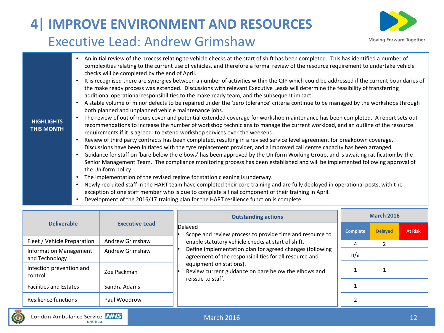# **4| IMPROVE ENVIRONMENT AND RESOURCES** Executive Lead: Andrew Grimshaw



- An initial review of the process relating to vehicle checks at the start of shift has been completed. This has identified a number of complexities relating to the current use of vehicles, and therefore a formal review of the resource requirement to undertake vehicle checks will be completed by the end of April. • It is recognised there are synergies between a number of activities within the QIP which could be addressed if the current boundaries of the make ready process was extended. Discussions with relevant Executive Leads will determine the feasibility of transferring additional operational responsibilities to the make ready team, and the subsequent impact. • A stable volume of minor defects to be repaired under the 'zero tolerance' criteria continue to be managed by the workshops through both planned and unplanned vehicle maintenance jobs. • The review of out of hours cover and potential extended coverage for workshop maintenance has been completed. A report sets out recommendations to increase the number of workshop technicians to manage the current workload, and an outline of the resource requirements if it is agreed to extend workshop services over the weekend. • Review of third party contracts has been completed, resulting in a revised service level agreement for breakdown coverage. Discussions have been initiated with the tyre replacement provider, and a improved call centre capacity has been arranged • Guidance for staff on 'bare below the elbows' has been approved by the Uniform Working Group, and is awaiting ratification by the Senior Management Team. The compliance monitoring process has been established and will be implemented following approval of the Uniform policy. The implementation of the revised regime for station cleaning is underway. • Newly recruited staff in the HART team have completed their core training and are fully deployed in operational posts, with the exception of one staff member who is due to complete a final component of their training in April.
	- Development of the 2016/17 training plan for the HART resilience function is complete.

|                                                 |                       | <b>Outstanding actions</b>                                                                                         | <b>March 2016</b> |                |                |  |  |
|-------------------------------------------------|-----------------------|--------------------------------------------------------------------------------------------------------------------|-------------------|----------------|----------------|--|--|
| <b>Deliverable</b>                              | <b>Executive Lead</b> | Delayed<br>Scope and review process to provide time and resource to                                                | <b>Complete</b>   | <b>Delayed</b> | <b>At Risk</b> |  |  |
| Fleet / Vehicle Preparation                     | Andrew Grimshaw       | enable statutory vehicle checks at start of shift.                                                                 | 4                 |                |                |  |  |
| <b>Information Management</b><br>and Technology | Andrew Grimshaw       | Define implementation plan for agreed changes (following<br>agreement of the responsibilities for all resource and | n/a               |                |                |  |  |
| Infection prevention and<br>control             | Zoe Packman           | equipment on stations).<br>Review current guidance on bare below the elbows and<br>reissue to staff.               |                   |                |                |  |  |
| <b>Facilities and Estates</b>                   | Sandra Adams          |                                                                                                                    |                   |                |                |  |  |
| Resilience functions                            | Paul Woodrow          |                                                                                                                    |                   |                |                |  |  |

#### **HIGHLIGHTS THIS MONTH**

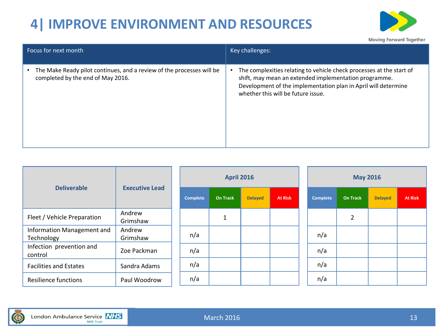# **4| IMPROVE ENVIRONMENT AND RESOURCES**



| Focus for next month                                                                                       | Key challenges:                                                                                                                                                                                                                       |
|------------------------------------------------------------------------------------------------------------|---------------------------------------------------------------------------------------------------------------------------------------------------------------------------------------------------------------------------------------|
| The Make Ready pilot continues, and a review of the processes will be<br>completed by the end of May 2016. | The complexities relating to vehicle check processes at the start of<br>shift, may mean an extended implementation programme.<br>Development of the implementation plan in April will determine<br>whether this will be future issue. |

| <b>Deliverable</b>                       | <b>Executive Lead</b> |                 | <b>April 2016</b> |                |                |          | <b>May 2016</b> |                |                |  |  |  |  |
|------------------------------------------|-----------------------|-----------------|-------------------|----------------|----------------|----------|-----------------|----------------|----------------|--|--|--|--|
|                                          |                       | <b>Complete</b> | <b>On Track</b>   | <b>Delayed</b> | <b>At Risk</b> | Complete | <b>On Track</b> | <b>Delayed</b> | <b>At Risk</b> |  |  |  |  |
| Fleet / Vehicle Preparation              | Andrew<br>Grimshaw    |                 | $\mathbf{A}$      |                |                |          | 2               |                |                |  |  |  |  |
| Information Management and<br>Technology | Andrew<br>Grimshaw    | n/a             |                   |                |                | n/a      |                 |                |                |  |  |  |  |
| Infection prevention and<br>control      | Zoe Packman           | n/a             |                   |                |                | n/a      |                 |                |                |  |  |  |  |
| <b>Facilities and Estates</b>            | Sandra Adams          | n/a             |                   |                |                | n/a      |                 |                |                |  |  |  |  |
| <b>Resilience functions</b>              | Paul Woodrow          | n/a             |                   |                |                | n/a      |                 |                |                |  |  |  |  |

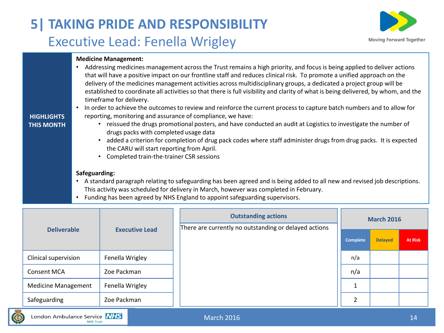# **5| TAKING PRIDE AND RESPONSIBILITY** Executive Lead: Fenella Wrigley



#### **Medicine Management:**

• Addressing medicines management across the Trust remains a high priority, and focus is being applied to deliver actions that will have a positive impact on our frontline staff and reduces clinical risk. To promote a unified approach on the delivery of the medicines management activities across multidisciplinary groups, a dedicated a project group will be established to coordinate all activities so that there is full visibility and clarity of what is being delivered, by whom, and the timeframe for delivery.

• In order to achieve the outcomes to review and reinforce the current process to capture batch numbers and to allow for

#### **HIGHLIGHTS**

#### **THIS MONTH**

- reissued the drugs promotional posters, and have conducted an audit at Logistics to investigate the number of drugs packs with completed usage data
- added a criterion for completion of drug pack codes where staff administer drugs from drug packs. It is expected the CARU will start reporting from April.
- Completed train-the-trainer CSR sessions

reporting, monitoring and assurance of compliance, we have:

#### **Safeguarding:**

- A standard paragraph relating to safeguarding has been agreed and is being added to all new and revised job descriptions. This activity was scheduled for delivery in March, however was completed in February.
- Funding has been agreed by NHS England to appoint safeguarding supervisors.

| <b>Deliverable</b>         | <b>Executive Lead</b> | <b>Outstanding actions</b><br>There are currently no outstanding or delayed actions | <b>March 2016</b> |                |                |  |  |
|----------------------------|-----------------------|-------------------------------------------------------------------------------------|-------------------|----------------|----------------|--|--|
|                            |                       |                                                                                     | <b>Complete</b>   | <b>Delayed</b> | <b>At Risk</b> |  |  |
| Clinical supervision       | Fenella Wrigley       |                                                                                     | n/a               |                |                |  |  |
| <b>Consent MCA</b>         | Zoe Packman           |                                                                                     | n/a               |                |                |  |  |
| <b>Medicine Management</b> | Fenella Wrigley       |                                                                                     |                   |                |                |  |  |
| Safeguarding               | Zoe Packman           |                                                                                     |                   |                |                |  |  |